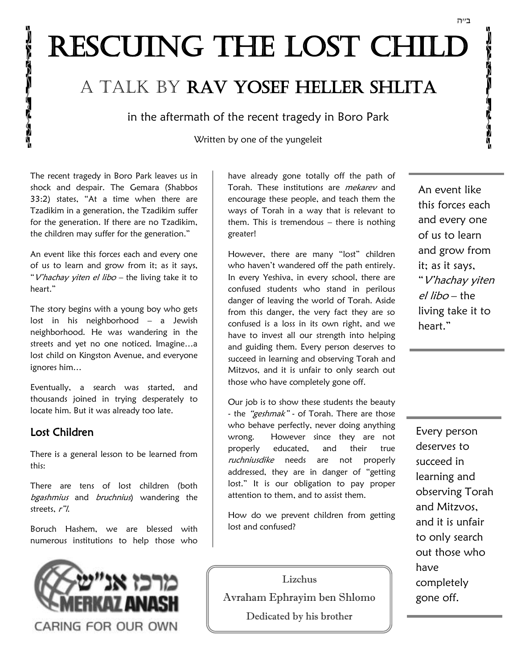# RESCUING THE LOST CHILD

# A talk by Rav Yosef Heller Shlita

in the aftermath of the recent tragedy in Boro Park

Written by one of the yungeleit

The recent tragedy in Boro Park leaves us in shock and despair. The Gemara (Shabbos 33:2) states, "At a time when there are Tzadikim in a generation, the Tzadikim suffer for the generation. If there are no Tzadikim, the children may suffer for the generation."

An event like this forces each and every one of us to learn and grow from it; as it says, "V'hachay yiten el libo - the living take it to heart."

The story begins with a young boy who gets lost in his neighborhood – a Jewish neighborhood. He was wandering in the streets and yet no one noticed. Imagine…a lost child on Kingston Avenue, and everyone ignores him…

Eventually, a search was started, and thousands joined in trying desperately to locate him. But it was already too late.

#### Lost Children

1

 $\frac{1}{2}$ 

There is a general lesson to be learned from this:

There are tens of lost children (both bgashmius and bruchnius) wandering the streets, r"l.

Boruch Hashem, we are blessed with numerous institutions to help those who



have already gone totally off the path of Torah. These institutions are *mekarev* and encourage these people, and teach them the ways of Torah in a way that is relevant to them. This is tremendous  $-$  there is nothing greater!

However, there are many "lost" children who haven't wandered off the path entirely. In every Yeshiva, in every school, there are confused students who stand in perilous danger of leaving the world of Torah. Aside from this danger, the very fact they are so confused is a loss in its own right, and we have to invest all our strength into helping and guiding them. Every person deserves to succeed in learning and observing Torah and Mitzvos, and it is unfair to only search out those who have completely gone off.

Our job is to show these students the beauty - the "geshmak" - of Torah. There are those who behave perfectly, never doing anything wrong. However since they are not properly educated, and their true ruchniusdike needs are not properly addressed, they are in danger of "getting lost." It is our obligation to pay proper attention to them, and to assist them.

How do we prevent children from getting lost and confused?

Lizchus Avraham Ephrayim ben Shlomo Dedicated by his brother

An event like this forces each and every one of us to learn and grow from it; as it says, "V'hachay yiten el libo – the living take it to heart."

Every person deserves to succeed in learning and observing Torah and Mitzvos, and it is unfair to only search out those who have completely gone off.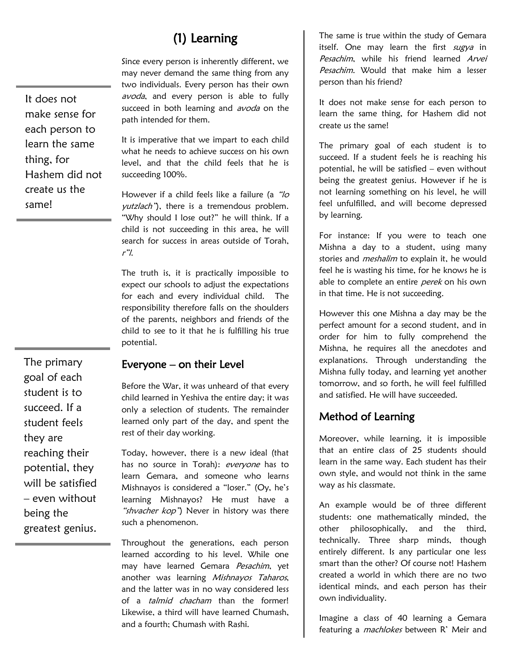# (1) Learning

Since every person is inherently different, we may never demand the same thing from any two individuals. Every person has their own avoda, and every person is able to fully succeed in both learning and *avoda* on the path intended for them.

It is imperative that we impart to each child what he needs to achieve success on his own level, and that the child feels that he is succeeding 100%.

However if a child feels like a failure (a "lo *yutzlach*"), there is a tremendous problem. "Why should I lose out?" he will think. If a child is not succeeding in this area, he will search for success in areas outside of Torah, <sup>r</sup>"l.

The truth is, it is practically impossible to expect our schools to adjust the expectations for each and every individual child. The responsibility therefore falls on the shoulders of the parents, neighbors and friends of the child to see to it that he is fulfilling his true potential.

# Everyone – on their Level

Before the War, it was unheard of that every child learned in Yeshiva the entire day; it was only a selection of students. The remainder learned only part of the day, and spent the rest of their day working.

Today, however, there is a new ideal (that has no source in Torah): everyone has to learn Gemara, and someone who learns Mishnayos is considered a "loser." (Oy, he's learning Mishnayos? He must have a "shvacher kop") Never in history was there such a phenomenon.

Throughout the generations, each person learned according to his level. While one may have learned Gemara Pesachim, yet another was learning Mishnayos Taharos, and the latter was in no way considered less of a *talmid chacham* than the former! Likewise, a third will have learned Chumash, and a fourth; Chumash with Rashi.

The same is true within the study of Gemara itself. One may learn the first  $\frac{f}{f}$  sugya in Pesachim, while his friend learned Arvei Pesachim. Would that make him a lesser person than his friend?

It does not make sense for each person to learn the same thing, for Hashem did not create us the same!

The primary goal of each student is to succeed. If a student feels he is reaching his potential, he will be satisfied – even without being the greatest genius. However if he is not learning something on his level, he will feel unfulfilled, and will become depressed by learning.

For instance: If you were to teach one Mishna a day to a student, using many stories and *meshalim* to explain it, he would feel he is wasting his time, for he knows he is able to complete an entire perek on his own in that time. He is not succeeding.

However this one Mishna a day may be the perfect amount for a second student, and in order for him to fully comprehend the Mishna, he requires all the anecdotes and explanations. Through understanding the Mishna fully today, and learning yet another tomorrow, and so forth, he will feel fulfilled and satisfied. He will have succeeded.

#### Method of Learning

Moreover, while learning, it is impossible that an entire class of 25 students should learn in the same way. Each student has their own style, and would not think in the same way as his classmate.

An example would be of three different students: one mathematically minded, the other philosophically, and the third, technically. Three sharp minds, though entirely different. Is any particular one less smart than the other? Of course not! Hashem created a world in which there are no two identical minds, and each person has their own individuality.

Imagine a class of 40 learning a Gemara featuring a *machlokes* between R' Meir and

The primary goal of each student is to succeed. If a student feels they are reaching their potential, they will be satisfied – even without being the greatest genius.

It does not make sense for each person to learn the same thing, for Hashem did not create us the same!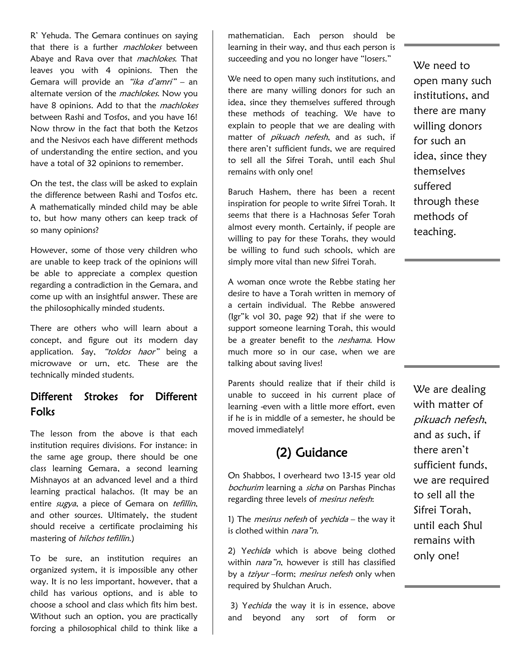R' Yehuda. The Gemara continues on saying that there is a further *machlokes* between Abaye and Rava over that *machlokes*. That leaves you with 4 opinions. Then the Gemara will provide an "ika d'amri" – an alternate version of the *machlokes*. Now you have 8 opinions. Add to that the *machlokes* between Rashi and Tosfos, and you have 16! Now throw in the fact that both the Ketzos and the Nesivos each have different methods of understanding the entire section, and you have a total of 32 opinions to remember.

On the test, the class will be asked to explain the difference between Rashi and Tosfos etc. A mathematically minded child may be able to, but how many others can keep track of so many opinions?

However, some of those very children who are unable to keep track of the opinions will be able to appreciate a complex question regarding a contradiction in the Gemara, and come up with an insightful answer. These are the philosophically minded students.

There are others who will learn about a concept, and figure out its modern day application. Say, "toldos haor" being a microwave or urn, etc. These are the technically minded students.

#### Different Strokes for Different Folks

The lesson from the above is that each institution requires divisions. For instance: in the same age group, there should be one class learning Gemara, a second learning Mishnayos at an advanced level and a third learning practical halachos. (It may be an entire sugya, a piece of Gemara on tefillin, and other sources. Ultimately, the student should receive a certificate proclaiming his mastering of hilchos tefillin.)

To be sure, an institution requires an organized system, it is impossible any other way. It is no less important, however, that a child has various options, and is able to choose a school and class which fits him best. Without such an option, you are practically forcing a philosophical child to think like a

mathematician. Each person should be learning in their way, and thus each person is succeeding and you no longer have "losers."

We need to open many such institutions, and there are many willing donors for such an idea, since they themselves suffered through these methods of teaching. We have to explain to people that we are dealing with matter of *pikuach nefesh*, and as such, if there aren't sufficient funds, we are required to sell all the Sifrei Torah, until each Shul remains with only one!

Baruch Hashem, there has been a recent inspiration for people to write Sifrei Torah. It seems that there is a Hachnosas Sefer Torah almost every month. Certainly, if people are willing to pay for these Torahs, they would be willing to fund such schools, which are simply more vital than new Sifrei Torah.

A woman once wrote the Rebbe stating her desire to have a Torah written in memory of a certain individual. The Rebbe answered (Igr"k vol 30, page 92) that if she were to support someone learning Torah, this would be a greater benefit to the neshama. How much more so in our case, when we are talking about saving lives!

Parents should realize that if their child is unable to succeed in his current place of learning -even with a little more effort, even if he is in middle of a semester, he should be moved immediately!

# (2) Guidance

On Shabbos, I overheard two 13-15 year old bochurim learning a sicha on Parshas Pinchas regarding three levels of mesirus nefesh:

1) The *mesirus nefesh* of *yechida* – the way it is clothed within nara"n.

2) Yechida which is above being clothed within nara"n, however is still has classified by a *tziyur* –form; mesirus nefesh only when required by Shulchan Aruch.

3) Yechida the way it is in essence, above and beyond any sort of form or We need to open many such institutions, and there are many willing donors for such an idea, since they themselves suffered through these methods of teaching.

We are dealing with matter of pikuach nefesh, and as such, if there aren't sufficient funds, we are required to sell all the Sifrei Torah, until each Shul remains with only one!